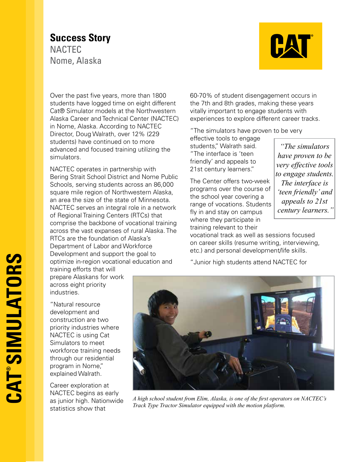## **Success Story NACTEC** Nome, Alaska



Over the past five years, more than 1800 students have logged time on eight different Cat® Simulator models at the Northwestern Alaska Career and Technical Center (NACTEC) in Nome, Alaska. According to NACTEC Director, Doug Walrath, over 12% (229 students) have continued on to more advanced and focused training utilizing the simulators.

NACTEC operates in partnership with Bering Strait School District and Nome Public Schools, serving students across an 86,000 square mile region of Northwestern Alaska, an area the size of the state of Minnesota. NACTEC serves an integral role in a network of Regional Training Centers (RTCs) that comprise the backbone of vocational training across the vast expanses of rural Alaska. The RTCs are the foundation of Alaska's Department of Labor and Workforce Development and support the goal to optimize in-region vocational education and training efforts that will

prepare Alaskans for work across eight priority industries.

"Natural resource development and construction are two priority industries where NACTEC is using Cat Simulators to meet workforce training needs through our residential program in Nome," explained Walrath.

Career exploration at NACTEC begins as early as junior high. Nationwide statistics show that

60-70% of student disengagement occurs in the 7th and 8th grades, making these years vitally important to engage students with experiences to explore different career tracks.

"The simulators have proven to be very

effective tools to engage students," Walrath said. "The interface is 'teen friendly' and appeals to 21st century learners."

The Center offers two-week programs over the course of the school year covering a range of vocations. Students fly in and stay on campus where they participate in training relevant to their

*"The simulators have proven to be very effective tools to engage students. The interface is 'teen friendly' and appeals to 21st century learners."*

vocational track as well as sessions focused on career skills (resume writing, interviewing, etc.) and personal development/life skills.

"Junior high students attend NACTEC for



*A high school student from Elim, Alaska, is one of the first operators on NACTEC's Track Type Tractor Simulator equipped with the motion platform.*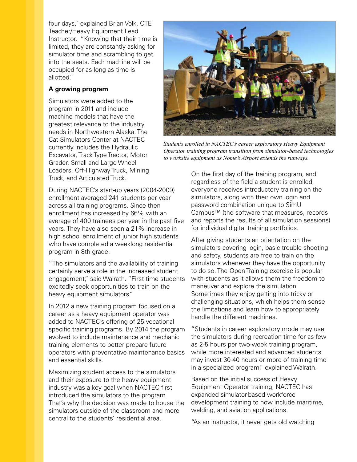four days," explained Brian Volk, CTE Teacher/Heavy Equipment Lead Instructor. "Knowing that their time is limited, they are constantly asking for simulator time and scrambling to get into the seats. Each machine will be occupied for as long as time is allotted."

## **A growing program**

Simulators were added to the program in 2011 and include machine models that have the greatest relevance to the industry needs in Northwestern Alaska. The Cat Simulators Center at NACTEC currently includes the Hydraulic Excavator, Track Type Tractor, Motor Grader, Small and Large Wheel Loaders, Off-Highway Truck, Mining Truck, and Articulated Truck.

During NACTEC's start-up years (2004-2009) enrollment averaged 241 students per year across all training programs. Since then enrollment has increased by 66% with an average of 400 trainees per year in the past five years. They have also seen a 21% increase in high school enrollment of junior high students who have completed a weeklong residential program in 8th grade.

"The simulators and the availability of training certainly serve a role in the increased student engagement," said Walrath. "First time students excitedly seek opportunities to train on the heavy equipment simulators."

In 2012 a new training program focused on a career as a heavy equipment operator was added to NACTEC's offering of 25 vocational specific training programs. By 2014 the program evolved to include maintenance and mechanic training elements to better prepare future operators with preventative maintenance basics and essential skills.

Maximizing student access to the simulators and their exposure to the heavy equipment industry was a key goal when NACTEC first introduced the simulators to the program. That's why the decision was made to house the simulators outside of the classroom and more central to the students' residential area.



*Students enrolled in NACTEC's career exploratory Heavy Equipment Operator training program transition from simulator-based technologies to worksite equipment as Nome's Airport extends the runways.* 

On the first day of the training program, and regardless of the field a student is enrolled, everyone receives introductory training on the simulators, along with their own login and password combination unique to SimU Campus™ (the software that measures, records and reports the results of all simulation sessions) for individual digital training portfolios.

After giving students an orientation on the simulators covering login, basic trouble-shooting and safety, students are free to train on the simulators whenever they have the opportunity to do so. The Open Training exercise is popular with students as it allows them the freedom to maneuver and explore the simulation. Sometimes they enjoy getting into tricky or challenging situations, which helps them sense the limitations and learn how to appropriately handle the different machines.

"Students in career exploratory mode may use the simulators during recreation time for as few as 2-5 hours per two-week training program, while more interested and advanced students may invest 30-40 hours or more of training time in a specialized program," explained Walrath.

Based on the initial success of Heavy Equipment Operator training, NACTEC has expanded simulator-based workforce development training to now include maritime, welding, and aviation applications.

"As an instructor, it never gets old watching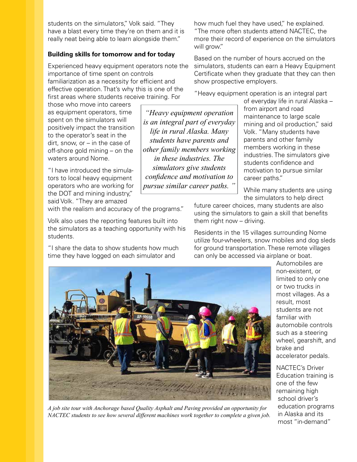students on the simulators," Volk said. "They have a blast every time they're on them and it is really neat being able to learn alongside them."

## **Building skills for tomorrow and for today**

Experienced heavy equipment operators note the importance of time spent on controls familiarization as a necessity for efficient and effective operation. That's why this is one of the first areas where students receive training. For

those who move into careers as equipment operators, time spent on the simulators will positively impact the transition to the operator's seat in the dirt, snow, or – in the case of off-shore gold mining – on the waters around Nome.

"I have introduced the simulators to local heavy equipment operators who are working for the DOT and mining industry," said Volk. "They are amazed

with the realism and accuracy of the programs."

Volk also uses the reporting features built into the simulators as a teaching opportunity with his students.

"I share the data to show students how much time they have logged on each simulator and

how much fuel they have used," he explained. "The more often students attend NACTEC, the more their record of experience on the simulators will grow."

Based on the number of hours accrued on the simulators, students can earn a Heavy Equipment Certificate when they graduate that they can then show prospective employers.

"Heavy equipment operation is an integral part

*"Heavy equipment operation is an integral part of everyday life in rural Alaska. Many students have parents and other family members working in these industries. The simulators give students confidence and motivation to pursue similar career paths. "*

of everyday life in rural Alaska – from airport and road maintenance to large scale mining and oil production," said Volk. "Many students have parents and other family members working in these industries. The simulators give students confidence and motivation to pursue similar career paths."

While many students are using the simulators to help direct

future career choices, many students are also using the simulators to gain a skill that benefits them right now – driving.

Residents in the 15 villages surrounding Nome utilize four-wheelers, snow mobiles and dog sleds for ground transportation. These remote villages can only be accessed via airplane or boat.



*A job site tour with Anchorage based Quality Asphalt and Paving provided an opportunity for NACTEC students to see how several different machines work together to complete a given job.*

Automobiles are non-existent, or limited to only one or two trucks in most villages. As a result, most students are not familiar with automobile controls such as a steering wheel, gearshift, and brake and accelerator pedals.

NACTEC's Driver Education training is one of the few remaining high school driver's education programs in Alaska and its most "in-demand"